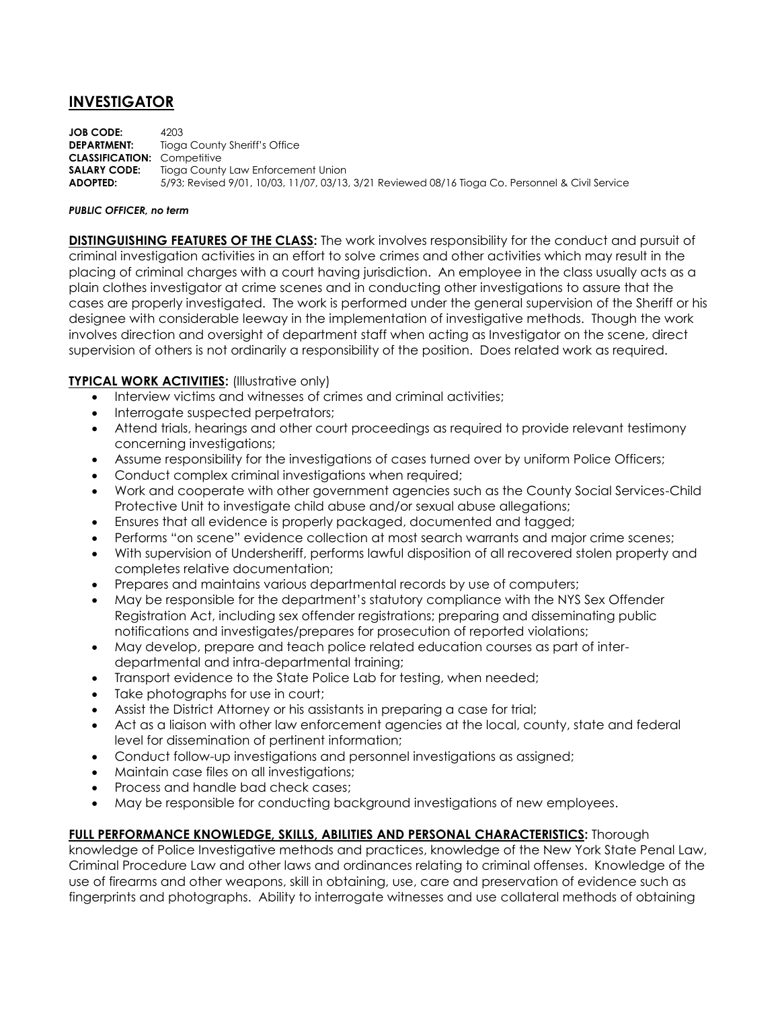# **INVESTIGATOR**

**JOB CODE:** 4203 **DEPARTMENT:** Tioga County Sheriff's Office **CLASSIFICATION:** Competitive **SALARY CODE:** Tioga County Law Enforcement Union **ADOPTED:** 5/93; Revised 9/01, 10/03, 11/07, 03/13, 3/21 Reviewed 08/16 Tioga Co. Personnel & Civil Service

#### *PUBLIC OFFICER, no term*

**DISTINGUISHING FEATURES OF THE CLASS:** The work involves responsibility for the conduct and pursuit of criminal investigation activities in an effort to solve crimes and other activities which may result in the placing of criminal charges with a court having jurisdiction. An employee in the class usually acts as a plain clothes investigator at crime scenes and in conducting other investigations to assure that the cases are properly investigated. The work is performed under the general supervision of the Sheriff or his designee with considerable leeway in the implementation of investigative methods. Though the work involves direction and oversight of department staff when acting as Investigator on the scene, direct supervision of others is not ordinarily a responsibility of the position. Does related work as required.

### **TYPICAL WORK ACTIVITIES:** (Illustrative only)

- Interview victims and witnesses of crimes and criminal activities;
- Interrogate suspected perpetrators;
- Attend trials, hearings and other court proceedings as required to provide relevant testimony concerning investigations;
- Assume responsibility for the investigations of cases turned over by uniform Police Officers;
- Conduct complex criminal investigations when required;
- Work and cooperate with other government agencies such as the County Social Services-Child Protective Unit to investigate child abuse and/or sexual abuse allegations;
- Ensures that all evidence is properly packaged, documented and tagged;
- Performs "on scene" evidence collection at most search warrants and major crime scenes;
- With supervision of Undersheriff, performs lawful disposition of all recovered stolen property and completes relative documentation;
- Prepares and maintains various departmental records by use of computers;
- May be responsible for the department's statutory compliance with the NYS Sex Offender Registration Act, including sex offender registrations; preparing and disseminating public notifications and investigates/prepares for prosecution of reported violations;
- May develop, prepare and teach police related education courses as part of interdepartmental and intra-departmental training;
- Transport evidence to the State Police Lab for testing, when needed;
- Take photographs for use in court;
- Assist the District Attorney or his assistants in preparing a case for trial;
- Act as a liaison with other law enforcement agencies at the local, county, state and federal level for dissemination of pertinent information;
- Conduct follow-up investigations and personnel investigations as assigned;
- Maintain case files on all investigations;
- Process and handle bad check cases;
- May be responsible for conducting background investigations of new employees.

## **FULL PERFORMANCE KNOWLEDGE, SKILLS, ABILITIES AND PERSONAL CHARACTERISTICS:** Thorough

knowledge of Police Investigative methods and practices, knowledge of the New York State Penal Law, Criminal Procedure Law and other laws and ordinances relating to criminal offenses. Knowledge of the use of firearms and other weapons, skill in obtaining, use, care and preservation of evidence such as fingerprints and photographs. Ability to interrogate witnesses and use collateral methods of obtaining